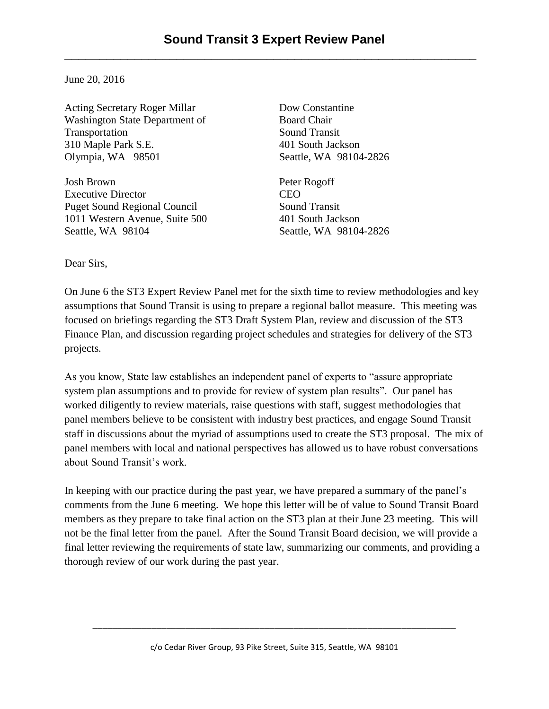June 20, 2016

Acting Secretary Roger Millar Washington State Department of Transportation 310 Maple Park S.E. Olympia, WA 98501

Josh Brown Executive Director Puget Sound Regional Council 1011 Western Avenue, Suite 500 Seattle, WA 98104

Dow Constantine Board Chair Sound Transit 401 South Jackson Seattle, WA 98104-2826

Peter Rogoff CEO Sound Transit 401 South Jackson Seattle, WA 98104-2826

Dear Sirs,

On June 6 the ST3 Expert Review Panel met for the sixth time to review methodologies and key assumptions that Sound Transit is using to prepare a regional ballot measure. This meeting was focused on briefings regarding the ST3 Draft System Plan, review and discussion of the ST3 Finance Plan, and discussion regarding project schedules and strategies for delivery of the ST3 projects.

As you know, State law establishes an independent panel of experts to "assure appropriate system plan assumptions and to provide for review of system plan results". Our panel has worked diligently to review materials, raise questions with staff, suggest methodologies that panel members believe to be consistent with industry best practices, and engage Sound Transit staff in discussions about the myriad of assumptions used to create the ST3 proposal. The mix of panel members with local and national perspectives has allowed us to have robust conversations about Sound Transit's work.

In keeping with our practice during the past year, we have prepared a summary of the panel's comments from the June 6 meeting. We hope this letter will be of value to Sound Transit Board members as they prepare to take final action on the ST3 plan at their June 23 meeting. This will not be the final letter from the panel. After the Sound Transit Board decision, we will provide a final letter reviewing the requirements of state law, summarizing our comments, and providing a thorough review of our work during the past year.

\_\_\_\_\_\_\_\_\_\_\_\_\_\_\_\_\_\_\_\_\_\_\_\_\_\_\_\_\_\_\_\_\_\_\_\_\_\_\_\_\_\_\_\_\_\_\_\_\_\_\_\_\_\_\_\_\_\_\_\_\_\_\_\_\_\_\_\_\_\_\_\_\_\_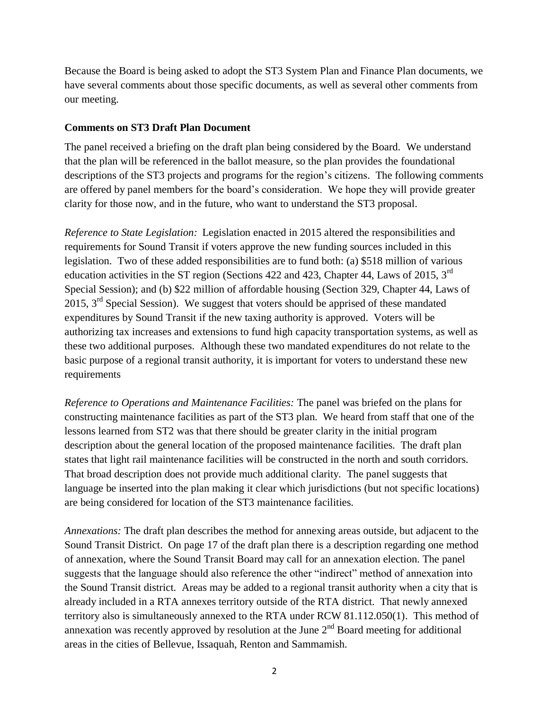Because the Board is being asked to adopt the ST3 System Plan and Finance Plan documents, we have several comments about those specific documents, as well as several other comments from our meeting.

## **Comments on ST3 Draft Plan Document**

The panel received a briefing on the draft plan being considered by the Board. We understand that the plan will be referenced in the ballot measure, so the plan provides the foundational descriptions of the ST3 projects and programs for the region's citizens. The following comments are offered by panel members for the board's consideration. We hope they will provide greater clarity for those now, and in the future, who want to understand the ST3 proposal.

*Reference to State Legislation:* Legislation enacted in 2015 altered the responsibilities and requirements for Sound Transit if voters approve the new funding sources included in this legislation. Two of these added responsibilities are to fund both: (a) \$518 million of various education activities in the ST region (Sections 422 and 423, Chapter 44, Laws of 2015, 3<sup>rd</sup> Special Session); and (b) \$22 million of affordable housing (Section 329, Chapter 44, Laws of 2015,  $3<sup>rd</sup>$  Special Session). We suggest that voters should be apprised of these mandated expenditures by Sound Transit if the new taxing authority is approved. Voters will be authorizing tax increases and extensions to fund high capacity transportation systems, as well as these two additional purposes. Although these two mandated expenditures do not relate to the basic purpose of a regional transit authority, it is important for voters to understand these new requirements

*Reference to Operations and Maintenance Facilities:* The panel was briefed on the plans for constructing maintenance facilities as part of the ST3 plan. We heard from staff that one of the lessons learned from ST2 was that there should be greater clarity in the initial program description about the general location of the proposed maintenance facilities. The draft plan states that light rail maintenance facilities will be constructed in the north and south corridors. That broad description does not provide much additional clarity. The panel suggests that language be inserted into the plan making it clear which jurisdictions (but not specific locations) are being considered for location of the ST3 maintenance facilities.

*Annexations:* The draft plan describes the method for annexing areas outside, but adjacent to the Sound Transit District. On page 17 of the draft plan there is a description regarding one method of annexation, where the Sound Transit Board may call for an annexation election. The panel suggests that the language should also reference the other "indirect" method of annexation into the Sound Transit district. Areas may be added to a regional transit authority when a city that is already included in a RTA annexes territory outside of the RTA district. That newly annexed territory also is simultaneously annexed to the RTA under RCW 81.112.050(1). This method of annexation was recently approved by resolution at the June  $2<sup>nd</sup>$  Board meeting for additional areas in the cities of Bellevue, Issaquah, Renton and Sammamish.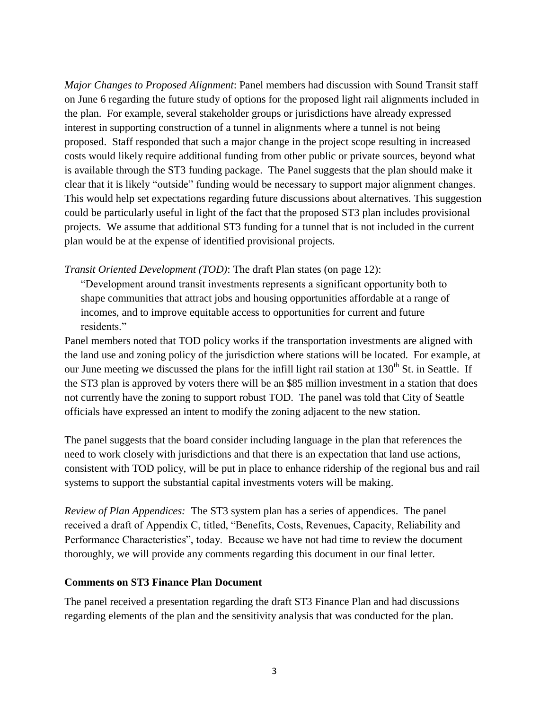*Major Changes to Proposed Alignment*: Panel members had discussion with Sound Transit staff on June 6 regarding the future study of options for the proposed light rail alignments included in the plan. For example, several stakeholder groups or jurisdictions have already expressed interest in supporting construction of a tunnel in alignments where a tunnel is not being proposed. Staff responded that such a major change in the project scope resulting in increased costs would likely require additional funding from other public or private sources, beyond what is available through the ST3 funding package. The Panel suggests that the plan should make it clear that it is likely "outside" funding would be necessary to support major alignment changes. This would help set expectations regarding future discussions about alternatives. This suggestion could be particularly useful in light of the fact that the proposed ST3 plan includes provisional projects. We assume that additional ST3 funding for a tunnel that is not included in the current plan would be at the expense of identified provisional projects.

*Transit Oriented Development (TOD)*: The draft Plan states (on page 12):

"Development around transit investments represents a significant opportunity both to shape communities that attract jobs and housing opportunities affordable at a range of incomes, and to improve equitable access to opportunities for current and future residents."

Panel members noted that TOD policy works if the transportation investments are aligned with the land use and zoning policy of the jurisdiction where stations will be located. For example, at our June meeting we discussed the plans for the infill light rail station at 130<sup>th</sup> St. in Seattle. If the ST3 plan is approved by voters there will be an \$85 million investment in a station that does not currently have the zoning to support robust TOD. The panel was told that City of Seattle officials have expressed an intent to modify the zoning adjacent to the new station.

The panel suggests that the board consider including language in the plan that references the need to work closely with jurisdictions and that there is an expectation that land use actions, consistent with TOD policy, will be put in place to enhance ridership of the regional bus and rail systems to support the substantial capital investments voters will be making.

*Review of Plan Appendices:* The ST3 system plan has a series of appendices. The panel received a draft of Appendix C, titled, "Benefits, Costs, Revenues, Capacity, Reliability and Performance Characteristics", today. Because we have not had time to review the document thoroughly, we will provide any comments regarding this document in our final letter.

## **Comments on ST3 Finance Plan Document**

The panel received a presentation regarding the draft ST3 Finance Plan and had discussions regarding elements of the plan and the sensitivity analysis that was conducted for the plan.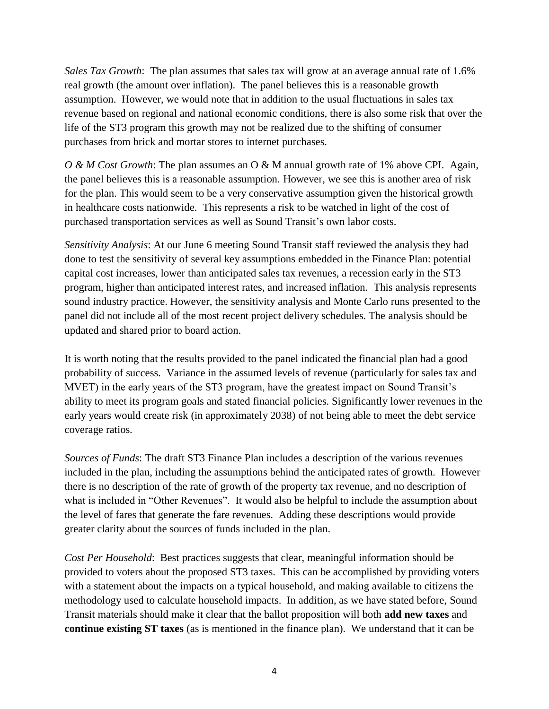*Sales Tax Growth*: The plan assumes that sales tax will grow at an average annual rate of 1.6% real growth (the amount over inflation). The panel believes this is a reasonable growth assumption. However, we would note that in addition to the usual fluctuations in sales tax revenue based on regional and national economic conditions, there is also some risk that over the life of the ST3 program this growth may not be realized due to the shifting of consumer purchases from brick and mortar stores to internet purchases.

*O & M Cost Growth*: The plan assumes an O & M annual growth rate of 1% above CPI. Again, the panel believes this is a reasonable assumption. However, we see this is another area of risk for the plan. This would seem to be a very conservative assumption given the historical growth in healthcare costs nationwide. This represents a risk to be watched in light of the cost of purchased transportation services as well as Sound Transit's own labor costs.

*Sensitivity Analysis*: At our June 6 meeting Sound Transit staff reviewed the analysis they had done to test the sensitivity of several key assumptions embedded in the Finance Plan: potential capital cost increases, lower than anticipated sales tax revenues, a recession early in the ST3 program, higher than anticipated interest rates, and increased inflation. This analysis represents sound industry practice. However, the sensitivity analysis and Monte Carlo runs presented to the panel did not include all of the most recent project delivery schedules. The analysis should be updated and shared prior to board action.

It is worth noting that the results provided to the panel indicated the financial plan had a good probability of success. Variance in the assumed levels of revenue (particularly for sales tax and MVET) in the early years of the ST3 program, have the greatest impact on Sound Transit's ability to meet its program goals and stated financial policies. Significantly lower revenues in the early years would create risk (in approximately 2038) of not being able to meet the debt service coverage ratios.

*Sources of Funds*: The draft ST3 Finance Plan includes a description of the various revenues included in the plan, including the assumptions behind the anticipated rates of growth. However there is no description of the rate of growth of the property tax revenue, and no description of what is included in "Other Revenues". It would also be helpful to include the assumption about the level of fares that generate the fare revenues. Adding these descriptions would provide greater clarity about the sources of funds included in the plan.

*Cost Per Household*: Best practices suggests that clear, meaningful information should be provided to voters about the proposed ST3 taxes. This can be accomplished by providing voters with a statement about the impacts on a typical household, and making available to citizens the methodology used to calculate household impacts. In addition, as we have stated before, Sound Transit materials should make it clear that the ballot proposition will both **add new taxes** and **continue existing ST taxes** (as is mentioned in the finance plan). We understand that it can be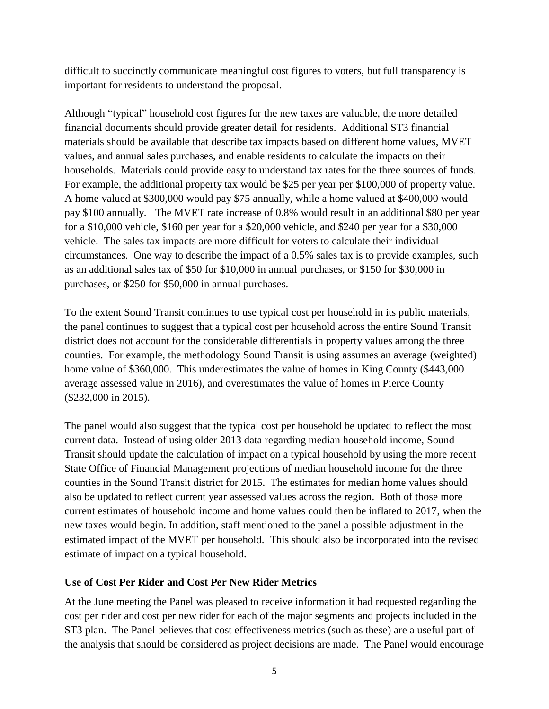difficult to succinctly communicate meaningful cost figures to voters, but full transparency is important for residents to understand the proposal.

Although "typical" household cost figures for the new taxes are valuable, the more detailed financial documents should provide greater detail for residents. Additional ST3 financial materials should be available that describe tax impacts based on different home values, MVET values, and annual sales purchases, and enable residents to calculate the impacts on their households. Materials could provide easy to understand tax rates for the three sources of funds. For example, the additional property tax would be \$25 per year per \$100,000 of property value. A home valued at \$300,000 would pay \$75 annually, while a home valued at \$400,000 would pay \$100 annually. The MVET rate increase of 0.8% would result in an additional \$80 per year for a \$10,000 vehicle, \$160 per year for a \$20,000 vehicle, and \$240 per year for a \$30,000 vehicle. The sales tax impacts are more difficult for voters to calculate their individual circumstances. One way to describe the impact of a 0.5% sales tax is to provide examples, such as an additional sales tax of \$50 for \$10,000 in annual purchases, or \$150 for \$30,000 in purchases, or \$250 for \$50,000 in annual purchases.

To the extent Sound Transit continues to use typical cost per household in its public materials, the panel continues to suggest that a typical cost per household across the entire Sound Transit district does not account for the considerable differentials in property values among the three counties. For example, the methodology Sound Transit is using assumes an average (weighted) home value of \$360,000. This underestimates the value of homes in King County (\$443,000) average assessed value in 2016), and overestimates the value of homes in Pierce County (\$232,000 in 2015).

The panel would also suggest that the typical cost per household be updated to reflect the most current data. Instead of using older 2013 data regarding median household income, Sound Transit should update the calculation of impact on a typical household by using the more recent State Office of Financial Management projections of median household income for the three counties in the Sound Transit district for 2015. The estimates for median home values should also be updated to reflect current year assessed values across the region. Both of those more current estimates of household income and home values could then be inflated to 2017, when the new taxes would begin. In addition, staff mentioned to the panel a possible adjustment in the estimated impact of the MVET per household. This should also be incorporated into the revised estimate of impact on a typical household.

## **Use of Cost Per Rider and Cost Per New Rider Metrics**

At the June meeting the Panel was pleased to receive information it had requested regarding the cost per rider and cost per new rider for each of the major segments and projects included in the ST3 plan. The Panel believes that cost effectiveness metrics (such as these) are a useful part of the analysis that should be considered as project decisions are made. The Panel would encourage